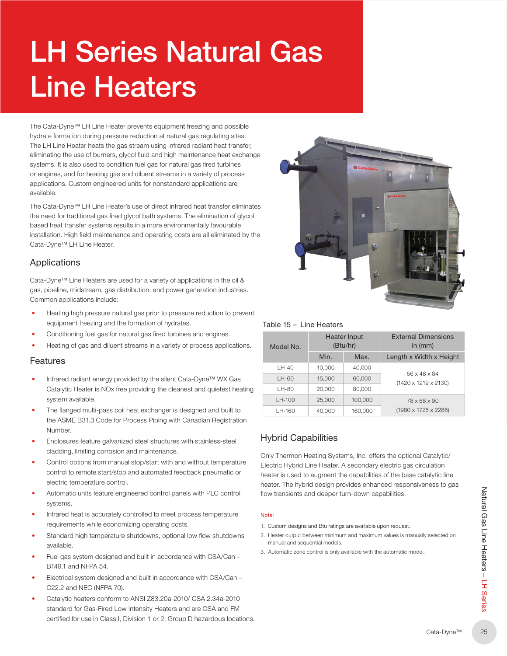# LH Series Natural Gas Line Heaters

The Cata‑Dyne™ LH Line Heater prevents equipment freezing and possible hydrate formation during pressure reduction at natural gas regulating sites. The LH Line Heater heats the gas stream using infrared radiant heat transfer, eliminating the use of burners, glycol fluid and high maintenance heat exchange systems. It is also used to condition fuel gas for natural gas fired turbines or engines, and for heating gas and diluent streams in a variety of process applications. Custom engineered units for nonstandard applications are available.

The Cata-Dyne™ LH Line Heater's use of direct infrared heat transfer eliminates the need for traditional gas fired glycol bath systems. The elimination of glycol based heat transfer systems results in a more environmentally favourable installation. High field maintenance and operating costs are all eliminated by the Cata‑Dyne™ LH Line Heater.

## Applications

Cata-Dyne™ Line Heaters are used for a variety of applications in the oil & gas, pipeline, midstream, gas distribution, and power generation industries. Common applications include:

- Heating high pressure natural gas prior to pressure reduction to prevent equipment freezing and the formation of hydrates.
- Conditioning fuel gas for natural gas fired turbines and engines.
- Heating of gas and diluent streams in a variety of process applications.

### Features

- Infrared radiant energy provided by the silent Cata‑Dyne™ WX Gas Catalytic Heater is NOx free providing the cleanest and quietest heating system available.
- The flanged multi-pass coil heat exchanger is designed and built to the ASME B31.3 Code for Process Piping with Canadian Registration Number.
- Enclosures feature galvanized steel structures with stainless-steel cladding, limiting corrosion and maintenance.
- Control options from manual stop/start with and without temperature control to remote start/stop and automated feedback pneumatic or electric temperature control.
- Automatic units feature engineered control panels with PLC control systems.
- Infrared heat is accurately controlled to meet process temperature requirements while economizing operating costs.
- Standard high temperature shutdowns, optional low flow shutdowns available.
- Fuel gas system designed and built in accordance with CSA/Can B149.1 and NFPA 54.
- Electrical system designed and built in accordance with CSA/Can C22.2 and NEC (NFPA 70).
- Catalytic heaters conform to ANSI Z83.20a-2010/ CSA 2.34a-2010 standard for Gas-Fired Low Intensity Heaters and are CSA and FM certified for use in Class I, Division 1 or 2, Group D hazardous locations.



#### Table 15 – Line Heaters

| Model No. | <b>Heater Input</b><br>(Btu/hr) |         | <b>External Dimensions</b><br>in $(mm)$ |
|-----------|---------------------------------|---------|-----------------------------------------|
|           | Min.                            | Max.    | Length x Width x Height                 |
| $LH-40$   | 10.000                          | 40,000  |                                         |
| $LH-60$   | 15,000                          | 60,000  | 56 x 48 x 84<br>(1420 x 1219 x 2130)    |
| LH-80     | 20,000                          | 80,000  |                                         |
| LH-100    | 25,000                          | 100.000 | 78 x 68 x 90                            |
| LH-160    | 40,000                          | 160,000 | (1980 x 1725 x 2286)                    |

## Hybrid Capabilities

Only Thermon Heating Systems, Inc. offers the optional Catalytic/ Electric Hybrid Line Heater. A secondary electric gas circulation heater is used to augment the capabilities of the base catalytic line heater. The hybrid design provides enhanced responsiveness to gas flow transients and deeper turn-down capabilities.

#### Note<sup>®</sup>

- 1. Custom designs and Btu ratings are available upon request.
- 2. Heater output between minimum and maximum values is manually selected on manual and sequential models.
- 3. Automatic zone control is only available with the automatic model.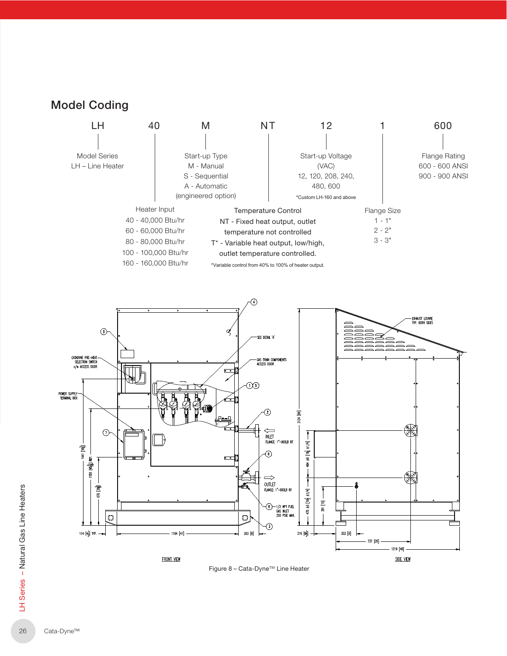



Figure 8 – Cata-Dyne™ Line Heater